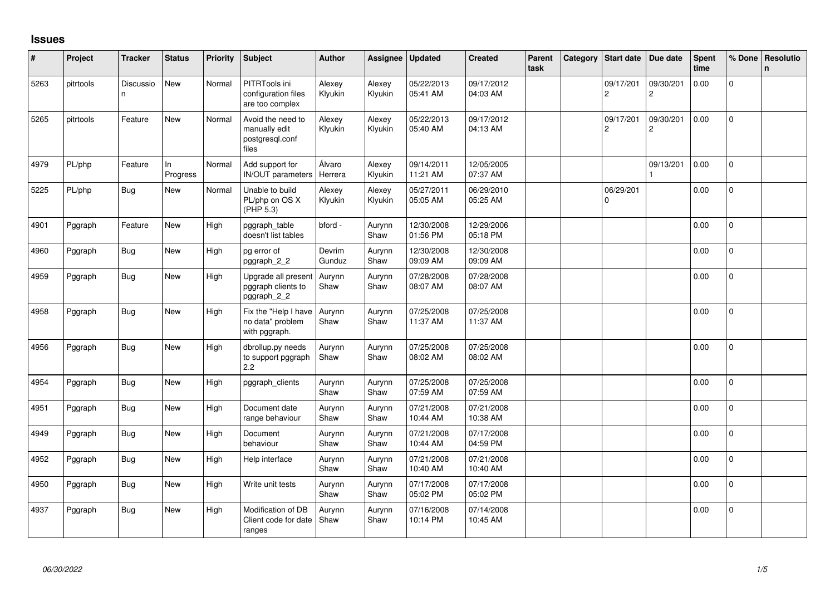## **Issues**

| #    | Project   | <b>Tracker</b> | <b>Status</b>  | Priority | <b>Subject</b>                                                 | <b>Author</b>     | Assignee          | Updated                | <b>Created</b>         | Parent<br>task | Category | <b>Start date</b>           | Due date                             | Spent<br>time | % Done         | <b>Resolutio</b><br>n. |
|------|-----------|----------------|----------------|----------|----------------------------------------------------------------|-------------------|-------------------|------------------------|------------------------|----------------|----------|-----------------------------|--------------------------------------|---------------|----------------|------------------------|
| 5263 | pitrtools | Discussio<br>n | New            | Normal   | PITRTools ini<br>configuration files<br>are too complex        | Alexey<br>Klyukin | Alexey<br>Klyukin | 05/22/2013<br>05:41 AM | 09/17/2012<br>04:03 AM |                |          | 09/17/201<br>$\overline{c}$ | 09/30/201<br>$\overline{\mathbf{c}}$ | 0.00          | $\Omega$       |                        |
| 5265 | pitrtools | Feature        | <b>New</b>     | Normal   | Avoid the need to<br>manually edit<br>postgresql.conf<br>files | Alexey<br>Klyukin | Alexey<br>Klyukin | 05/22/2013<br>05:40 AM | 09/17/2012<br>04:13 AM |                |          | 09/17/201<br>$\overline{c}$ | 09/30/201<br>$\overline{c}$          | 0.00          | $\Omega$       |                        |
| 4979 | PL/php    | Feature        | In<br>Progress | Normal   | Add support for<br>IN/OUT parameters                           | Álvaro<br>Herrera | Alexey<br>Klyukin | 09/14/2011<br>11:21 AM | 12/05/2005<br>07:37 AM |                |          |                             | 09/13/201                            | 0.00          | $\mathbf 0$    |                        |
| 5225 | PL/php    | Bug            | New            | Normal   | Unable to build<br>PL/php on OS X<br>(PHP 5.3)                 | Alexey<br>Klyukin | Alexey<br>Klyukin | 05/27/2011<br>05:05 AM | 06/29/2010<br>05:25 AM |                |          | 06/29/201<br>$\Omega$       |                                      | 0.00          | 0              |                        |
| 4901 | Pggraph   | Feature        | New            | High     | pggraph_table<br>doesn't list tables                           | bford -           | Aurynn<br>Shaw    | 12/30/2008<br>01:56 PM | 12/29/2006<br>05:18 PM |                |          |                             |                                      | 0.00          | $\Omega$       |                        |
| 4960 | Pggraph   | Bug            | <b>New</b>     | High     | pg error of<br>pggraph 2 2                                     | Devrim<br>Gunduz  | Aurynn<br>Shaw    | 12/30/2008<br>09:09 AM | 12/30/2008<br>09:09 AM |                |          |                             |                                      | 0.00          | $\Omega$       |                        |
| 4959 | Pggraph   | <b>Bug</b>     | <b>New</b>     | High     | Upgrade all present<br>pggraph clients to<br>pggraph_2_2       | Aurynn<br>Shaw    | Aurynn<br>Shaw    | 07/28/2008<br>08:07 AM | 07/28/2008<br>08:07 AM |                |          |                             |                                      | 0.00          | $\mathbf{0}$   |                        |
| 4958 | Pggraph   | Bug            | New            | High     | Fix the "Help I have<br>no data" problem<br>with pggraph.      | Aurynn<br>Shaw    | Aurynn<br>Shaw    | 07/25/2008<br>11:37 AM | 07/25/2008<br>11:37 AM |                |          |                             |                                      | 0.00          | $\overline{0}$ |                        |
| 4956 | Pggraph   | Bug            | <b>New</b>     | High     | dbrollup.py needs<br>to support pggraph<br>2.2                 | Aurynn<br>Shaw    | Aurynn<br>Shaw    | 07/25/2008<br>08:02 AM | 07/25/2008<br>08:02 AM |                |          |                             |                                      | 0.00          | $\mathbf 0$    |                        |
| 4954 | Pggraph   | Bug            | <b>New</b>     | High     | pggraph_clients                                                | Aurynn<br>Shaw    | Aurynn<br>Shaw    | 07/25/2008<br>07:59 AM | 07/25/2008<br>07:59 AM |                |          |                             |                                      | 0.00          | $\Omega$       |                        |
| 4951 | Pggraph   | Bug            | <b>New</b>     | High     | Document date<br>range behaviour                               | Aurynn<br>Shaw    | Aurynn<br>Shaw    | 07/21/2008<br>10:44 AM | 07/21/2008<br>10:38 AM |                |          |                             |                                      | 0.00          | $\mathbf{0}$   |                        |
| 4949 | Pggraph   | Bug            | <b>New</b>     | High     | Document<br>behaviour                                          | Aurynn<br>Shaw    | Aurynn<br>Shaw    | 07/21/2008<br>10:44 AM | 07/17/2008<br>04:59 PM |                |          |                             |                                      | 0.00          | $\Omega$       |                        |
| 4952 | Pggraph   | Bug            | New            | High     | Help interface                                                 | Aurynn<br>Shaw    | Aurynn<br>Shaw    | 07/21/2008<br>10:40 AM | 07/21/2008<br>10:40 AM |                |          |                             |                                      | 0.00          | $\mathbf 0$    |                        |
| 4950 | Pggraph   | Bug            | New            | High     | Write unit tests                                               | Aurynn<br>Shaw    | Aurynn<br>Shaw    | 07/17/2008<br>05:02 PM | 07/17/2008<br>05:02 PM |                |          |                             |                                      | 0.00          | 0              |                        |
| 4937 | Pggraph   | Bug            | <b>New</b>     | High     | Modification of DB<br>Client code for date<br>ranges           | Aurynn<br>Shaw    | Aurynn<br>Shaw    | 07/16/2008<br>10:14 PM | 07/14/2008<br>10:45 AM |                |          |                             |                                      | 0.00          | 0              |                        |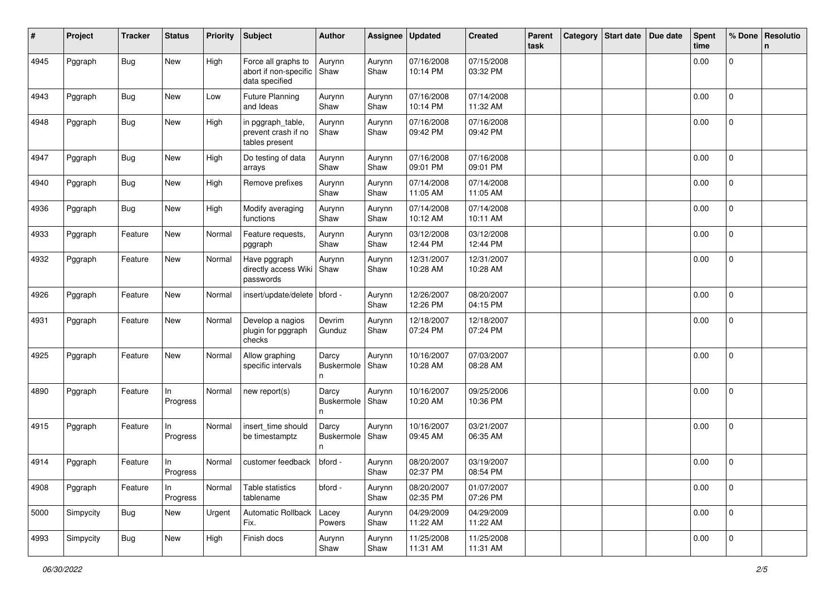| #    | Project   | <b>Tracker</b> | <b>Status</b>  | <b>Priority</b> | <b>Subject</b>                                                 | <b>Author</b>            | Assignee       | <b>Updated</b>         | <b>Created</b>         | Parent<br>task | Category | Start date Due date | <b>Spent</b><br>time | % Done         | <b>Resolutio</b><br>$\mathbf n$ |
|------|-----------|----------------|----------------|-----------------|----------------------------------------------------------------|--------------------------|----------------|------------------------|------------------------|----------------|----------|---------------------|----------------------|----------------|---------------------------------|
| 4945 | Pggraph   | <b>Bug</b>     | New            | High            | Force all graphs to<br>abort if non-specific<br>data specified | Aurynn<br>Shaw           | Aurynn<br>Shaw | 07/16/2008<br>10:14 PM | 07/15/2008<br>03:32 PM |                |          |                     | 0.00                 | 0              |                                 |
| 4943 | Pggraph   | <b>Bug</b>     | New            | Low             | <b>Future Planning</b><br>and Ideas                            | Aurynn<br>Shaw           | Aurynn<br>Shaw | 07/16/2008<br>10:14 PM | 07/14/2008<br>11:32 AM |                |          |                     | 0.00                 | $\mathbf 0$    |                                 |
| 4948 | Pggraph   | Bug            | New            | High            | in pggraph_table,<br>prevent crash if no<br>tables present     | Aurynn<br>Shaw           | Aurynn<br>Shaw | 07/16/2008<br>09:42 PM | 07/16/2008<br>09:42 PM |                |          |                     | 0.00                 | $\mathbf 0$    |                                 |
| 4947 | Pggraph   | Bug            | New            | High            | Do testing of data<br>arrays                                   | Aurynn<br>Shaw           | Aurynn<br>Shaw | 07/16/2008<br>09:01 PM | 07/16/2008<br>09:01 PM |                |          |                     | 0.00                 | $\mathbf 0$    |                                 |
| 4940 | Pggraph   | <b>Bug</b>     | New            | High            | Remove prefixes                                                | Aurynn<br>Shaw           | Aurynn<br>Shaw | 07/14/2008<br>11:05 AM | 07/14/2008<br>11:05 AM |                |          |                     | 0.00                 | 0              |                                 |
| 4936 | Pggraph   | <b>Bug</b>     | New            | High            | Modify averaging<br>functions                                  | Aurynn<br>Shaw           | Aurynn<br>Shaw | 07/14/2008<br>10:12 AM | 07/14/2008<br>10:11 AM |                |          |                     | 0.00                 | $\mathbf 0$    |                                 |
| 4933 | Pggraph   | Feature        | New            | Normal          | Feature requests,<br>pggraph                                   | Aurynn<br>Shaw           | Aurynn<br>Shaw | 03/12/2008<br>12:44 PM | 03/12/2008<br>12:44 PM |                |          |                     | 0.00                 | 0              |                                 |
| 4932 | Pggraph   | Feature        | New            | Normal          | Have pggraph<br>directly access Wiki<br>passwords              | Aurynn<br>Shaw           | Aurynn<br>Shaw | 12/31/2007<br>10:28 AM | 12/31/2007<br>10:28 AM |                |          |                     | 0.00                 | $\overline{0}$ |                                 |
| 4926 | Pggraph   | Feature        | New            | Normal          | insert/update/delete   bford -                                 |                          | Aurynn<br>Shaw | 12/26/2007<br>12:26 PM | 08/20/2007<br>04:15 PM |                |          |                     | 0.00                 | $\mathbf 0$    |                                 |
| 4931 | Pggraph   | Feature        | New            | Normal          | Develop a nagios<br>plugin for pggraph<br>checks               | Devrim<br>Gunduz         | Aurynn<br>Shaw | 12/18/2007<br>07:24 PM | 12/18/2007<br>07:24 PM |                |          |                     | 0.00                 | 0              |                                 |
| 4925 | Pggraph   | Feature        | New            | Normal          | Allow graphing<br>specific intervals                           | Darcy<br>Buskermole<br>n | Aurynn<br>Shaw | 10/16/2007<br>10:28 AM | 07/03/2007<br>08:28 AM |                |          |                     | 0.00                 | 0              |                                 |
| 4890 | Pggraph   | Feature        | In<br>Progress | Normal          | new report(s)                                                  | Darcy<br>Buskermole<br>n | Aurynn<br>Shaw | 10/16/2007<br>10:20 AM | 09/25/2006<br>10:36 PM |                |          |                     | 0.00                 | 0              |                                 |
| 4915 | Pggraph   | Feature        | In<br>Progress | Normal          | insert_time should<br>be timestamptz                           | Darcy<br>Buskermole<br>n | Aurynn<br>Shaw | 10/16/2007<br>09:45 AM | 03/21/2007<br>06:35 AM |                |          |                     | 0.00                 | 0              |                                 |
| 4914 | Pggraph   | Feature        | In<br>Progress | Normal          | customer feedback                                              | bford -                  | Aurynn<br>Shaw | 08/20/2007<br>02:37 PM | 03/19/2007<br>08:54 PM |                |          |                     | 0.00                 | $\overline{0}$ |                                 |
| 4908 | Pggraph   | Feature        | In<br>Progress | Normal          | Table statistics<br>tablename                                  | bford -                  | Aurynn<br>Shaw | 08/20/2007<br>02:35 PM | 01/07/2007<br>07:26 PM |                |          |                     | 0.00                 | $\mathbf 0$    |                                 |
| 5000 | Simpycity | <b>Bug</b>     | New            | Urgent          | Automatic Rollback<br>Fix.                                     | Lacey<br>Powers          | Aurynn<br>Shaw | 04/29/2009<br>11:22 AM | 04/29/2009<br>11:22 AM |                |          |                     | 0.00                 | $\mathsf 0$    |                                 |
| 4993 | Simpycity | Bug            | New            | High            | Finish docs                                                    | Aurynn<br>Shaw           | Aurynn<br>Shaw | 11/25/2008<br>11:31 AM | 11/25/2008<br>11:31 AM |                |          |                     | 0.00                 | 0              |                                 |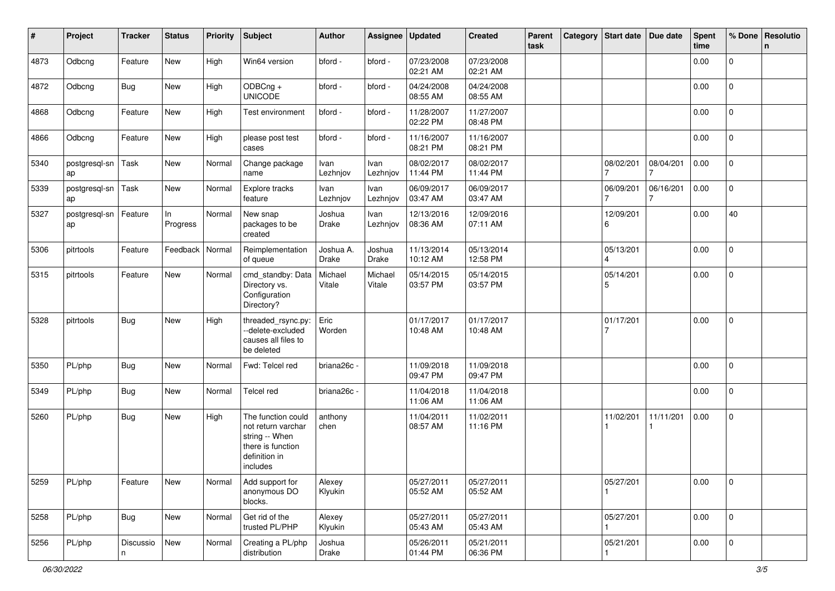| #    | Project             | <b>Tracker</b> | <b>Status</b>     | <b>Priority</b> | <b>Subject</b>                                                                                               | <b>Author</b>      | Assignee          | <b>Updated</b>         | <b>Created</b>         | Parent<br>task | Category Start date Due date |                | <b>Spent</b><br>time | % Done              | Resolutio<br>n. |
|------|---------------------|----------------|-------------------|-----------------|--------------------------------------------------------------------------------------------------------------|--------------------|-------------------|------------------------|------------------------|----------------|------------------------------|----------------|----------------------|---------------------|-----------------|
| 4873 | Odbcng              | Feature        | New               | High            | Win64 version                                                                                                | bford -            | bford -           | 07/23/2008<br>02:21 AM | 07/23/2008<br>02:21 AM |                |                              |                | 0.00                 | 0                   |                 |
| 4872 | Odbcng              | <b>Bug</b>     | New               | High            | ODBCng +<br><b>UNICODE</b>                                                                                   | bford -            | bford -           | 04/24/2008<br>08:55 AM | 04/24/2008<br>08:55 AM |                |                              |                | 0.00                 | $\overline{0}$      |                 |
| 4868 | Odbcng              | Feature        | New               | High            | Test environment                                                                                             | bford -            | bford -           | 11/28/2007<br>02:22 PM | 11/27/2007<br>08:48 PM |                |                              |                | 0.00                 | 0                   |                 |
| 4866 | Odbcng              | Feature        | New               | High            | please post test<br>cases                                                                                    | bford -            | bford -           | 11/16/2007<br>08:21 PM | 11/16/2007<br>08:21 PM |                |                              |                | 0.00                 | $\mathbf 0$         |                 |
| 5340 | postgresql-sn<br>ap | Task           | New               | Normal          | Change package<br>name                                                                                       | Ivan<br>Lezhnjov   | Ivan<br>Lezhnjov  | 08/02/2017<br>11:44 PM | 08/02/2017<br>11:44 PM |                | 08/02/201                    | 08/04/201      | 0.00                 | $\mathbf{0}$        |                 |
| 5339 | postgresql-sn<br>ap | Task           | New               | Normal          | Explore tracks<br>feature                                                                                    | Ivan<br>Lezhnjov   | Ivan<br>Lezhnjov  | 06/09/2017<br>03:47 AM | 06/09/2017<br>03:47 AM |                | 06/09/201                    | 06/16/201<br>7 | 0.00                 | 0                   |                 |
| 5327 | postgresql-sn<br>ap | Feature        | In<br>Progress    | Normal          | New snap<br>packages to be<br>created                                                                        | Joshua<br>Drake    | Ivan<br>Lezhnjov  | 12/13/2016<br>08:36 AM | 12/09/2016<br>07:11 AM |                | 12/09/201<br>6               |                | 0.00                 | 40                  |                 |
| 5306 | pitrtools           | Feature        | Feedback   Normal |                 | Reimplementation<br>of queue                                                                                 | Joshua A.<br>Drake | Joshua<br>Drake   | 11/13/2014<br>10:12 AM | 05/13/2014<br>12:58 PM |                | 05/13/201                    |                | 0.00                 | $\mathbf{0}$        |                 |
| 5315 | pitrtools           | Feature        | New               | Normal          | cmd_standby: Data<br>Directory vs.<br>Configuration<br>Directory?                                            | Michael<br>Vitale  | Michael<br>Vitale | 05/14/2015<br>03:57 PM | 05/14/2015<br>03:57 PM |                | 05/14/201<br>5               |                | 0.00                 | $\mathbf 0$         |                 |
| 5328 | pitrtools           | <b>Bug</b>     | New               | High            | threaded_rsync.py:<br>--delete-excluded<br>causes all files to<br>be deleted                                 | Eric<br>Worden     |                   | 01/17/2017<br>10:48 AM | 01/17/2017<br>10:48 AM |                | 01/17/201                    |                | 0.00                 | $\overline{0}$      |                 |
| 5350 | PL/php              | <b>Bug</b>     | New               | Normal          | Fwd: Telcel red                                                                                              | briana26c -        |                   | 11/09/2018<br>09:47 PM | 11/09/2018<br>09:47 PM |                |                              |                | 0.00                 | $\Omega$            |                 |
| 5349 | PL/php              | <b>Bug</b>     | New               | Normal          | Telcel red                                                                                                   | briana26c -        |                   | 11/04/2018<br>11:06 AM | 11/04/2018<br>11:06 AM |                |                              |                | 0.00                 | $\overline{0}$      |                 |
| 5260 | PL/php              | <b>Bug</b>     | New               | High            | The function could<br>not return varchar<br>string -- When<br>there is function<br>definition in<br>includes | anthony<br>chen    |                   | 11/04/2011<br>08:57 AM | 11/02/2011<br>11:16 PM |                | 11/02/201                    | 11/11/201      | 0.00                 | $\mathbf 0$         |                 |
| 5259 | PL/php              | Feature        | New               | Normal          | Add support for<br>anonymous DO<br>blocks.                                                                   | Alexey<br>Klyukin  |                   | 05/27/2011<br>05:52 AM | 05/27/2011<br>05:52 AM |                | 05/27/201                    |                | 0.00                 | $\mathsf 0$         |                 |
| 5258 | PL/php              | <b>Bug</b>     | New               | Normal          | Get rid of the<br>trusted PL/PHP                                                                             | Alexey<br>Klyukin  |                   | 05/27/2011<br>05:43 AM | 05/27/2011<br>05:43 AM |                | 05/27/201                    |                | 0.00                 | $\mathbf 0$         |                 |
| 5256 | PL/php              | Discussio<br>n | New               | Normal          | Creating a PL/php<br>distribution                                                                            | Joshua<br>Drake    |                   | 05/26/2011<br>01:44 PM | 05/21/2011<br>06:36 PM |                | 05/21/201                    |                | 0.00                 | $\mathsf{O}\xspace$ |                 |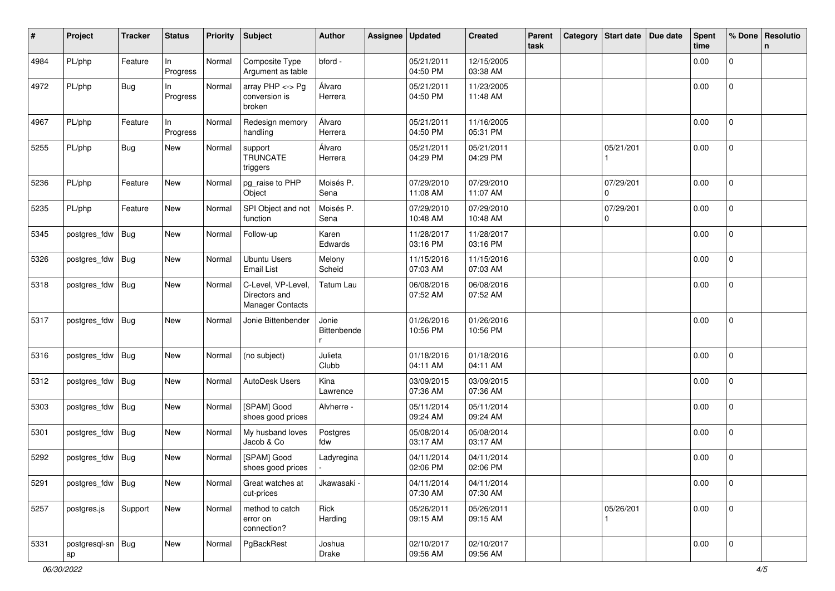| #    | Project                 | Tracker    | <b>Status</b>   | <b>Priority</b> | <b>Subject</b>                                                | <b>Author</b>        | Assignee | <b>Updated</b>         | <b>Created</b>         | Parent<br>task | Category Start date   | Due date | <b>Spent</b><br>time | % Done              | Resolutio<br>n |
|------|-------------------------|------------|-----------------|-----------------|---------------------------------------------------------------|----------------------|----------|------------------------|------------------------|----------------|-----------------------|----------|----------------------|---------------------|----------------|
| 4984 | PL/php                  | Feature    | In<br>Progress  | Normal          | Composite Type<br>Argument as table                           | bford -              |          | 05/21/2011<br>04:50 PM | 12/15/2005<br>03:38 AM |                |                       |          | 0.00                 | $\mathsf{O}$        |                |
| 4972 | PL/php                  | <b>Bug</b> | In.<br>Progress | Normal          | array $PHP \lt\gt P$ g<br>conversion is<br>broken             | Álvaro<br>Herrera    |          | 05/21/2011<br>04:50 PM | 11/23/2005<br>11:48 AM |                |                       |          | 0.00                 | $\mathbf 0$         |                |
| 4967 | PL/php                  | Feature    | In<br>Progress  | Normal          | Redesign memory<br>handling                                   | Álvaro<br>Herrera    |          | 05/21/2011<br>04:50 PM | 11/16/2005<br>05:31 PM |                |                       |          | 0.00                 | $\mathbf{0}$        |                |
| 5255 | PL/php                  | <b>Bug</b> | <b>New</b>      | Normal          | support<br><b>TRUNCATE</b><br>triggers                        | Álvaro<br>Herrera    |          | 05/21/2011<br>04:29 PM | 05/21/2011<br>04:29 PM |                | 05/21/201             |          | 0.00                 | $\overline{0}$      |                |
| 5236 | PL/php                  | Feature    | <b>New</b>      | Normal          | pg_raise to PHP<br>Object                                     | Moisés P.<br>Sena    |          | 07/29/2010<br>11:08 AM | 07/29/2010<br>11:07 AM |                | 07/29/201<br>$\Omega$ |          | 0.00                 | 0                   |                |
| 5235 | PL/php                  | Feature    | <b>New</b>      | Normal          | SPI Object and not<br>function                                | Moisés P.<br>Sena    |          | 07/29/2010<br>10:48 AM | 07/29/2010<br>10:48 AM |                | 07/29/201<br>0        |          | 0.00                 | $\mathsf{O}$        |                |
| 5345 | postgres_fdw            | Bug        | New             | Normal          | Follow-up                                                     | Karen<br>Edwards     |          | 11/28/2017<br>03:16 PM | 11/28/2017<br>03:16 PM |                |                       |          | 0.00                 | $\mathbf{0}$        |                |
| 5326 | postgres_fdw            | <b>Bug</b> | New             | Normal          | <b>Ubuntu Users</b><br><b>Email List</b>                      | Melony<br>Scheid     |          | 11/15/2016<br>07:03 AM | 11/15/2016<br>07:03 AM |                |                       |          | 0.00                 | $\mathbf 0$         |                |
| 5318 | postgres_fdw            | <b>Bug</b> | New             | Normal          | C-Level, VP-Level<br>Directors and<br><b>Manager Contacts</b> | <b>Tatum Lau</b>     |          | 06/08/2016<br>07:52 AM | 06/08/2016<br>07:52 AM |                |                       |          | 0.00                 | $\pmb{0}$           |                |
| 5317 | postgres_fdw            | <b>Bug</b> | New             | Normal          | Jonie Bittenbender                                            | Jonie<br>Bittenbende |          | 01/26/2016<br>10:56 PM | 01/26/2016<br>10:56 PM |                |                       |          | 0.00                 | $\overline{0}$      |                |
| 5316 | postgres_fdw            | <b>Bug</b> | New             | Normal          | (no subject)                                                  | Julieta<br>Clubb     |          | 01/18/2016<br>04:11 AM | 01/18/2016<br>04:11 AM |                |                       |          | 0.00                 | $\overline{0}$      |                |
| 5312 | postgres_fdw            | Bug        | New             | Normal          | AutoDesk Users                                                | Kina<br>Lawrence     |          | 03/09/2015<br>07:36 AM | 03/09/2015<br>07:36 AM |                |                       |          | 0.00                 | $\mathbf 0$         |                |
| 5303 | postgres_fdw            | <b>Bug</b> | <b>New</b>      | Normal          | [SPAM] Good<br>shoes good prices                              | Alvherre -           |          | 05/11/2014<br>09:24 AM | 05/11/2014<br>09:24 AM |                |                       |          | 0.00                 | $\mathsf{O}$        |                |
| 5301 | postgres_fdw            | <b>Bug</b> | <b>New</b>      | Normal          | My husband loves<br>Jacob & Co                                | Postgres<br>fdw      |          | 05/08/2014<br>03:17 AM | 05/08/2014<br>03:17 AM |                |                       |          | 0.00                 | $\mathbf 0$         |                |
| 5292 | postgres_fdw            | Bug        | New             | Normal          | [SPAM] Good<br>shoes good prices                              | Ladyregina           |          | 04/11/2014<br>02:06 PM | 04/11/2014<br>02:06 PM |                |                       |          | 0.00                 | 0                   |                |
| 5291 | postgres_fdw            | Bug        | New             | Normal          | Great watches at<br>cut-prices                                | Jkawasaki ·          |          | 04/11/2014<br>07:30 AM | 04/11/2014<br>07:30 AM |                |                       |          | 0.00                 | $\mathsf{O}\xspace$ |                |
| 5257 | postgres.js             | Support    | New             | Normal          | method to catch<br>error on<br>connection?                    | Rick<br>Harding      |          | 05/26/2011<br>09:15 AM | 05/26/2011<br>09:15 AM |                | 05/26/201             |          | 0.00                 | $\mathsf{O}\xspace$ |                |
| 5331 | postgresql-sn Bug<br>ap |            | New             | Normal          | PgBackRest                                                    | Joshua<br>Drake      |          | 02/10/2017<br>09:56 AM | 02/10/2017<br>09:56 AM |                |                       |          | 0.00                 | $\mathbf 0$         |                |